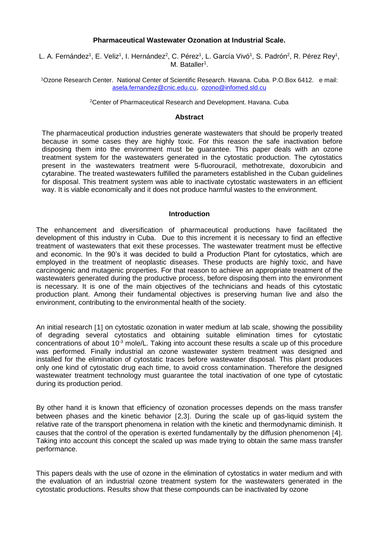## **Pharmaceutical Wastewater Ozonation at Industrial Scale.**

L. A. Fernández<sup>1</sup>, E. Veliz<sup>1</sup>, I. Hernández<sup>2</sup>, C. Pérez<sup>1</sup>, L. García Vivó<sup>1</sup>, S. Padrón<sup>2</sup>, R. Pérez Rey<sup>1</sup>, M. Bataller<sup>1</sup>.

<sup>1</sup>Ozone Research Center. National Center of Scientific Research. Havana. Cuba. P.O.Box 6412. e mail: [asela.fernandez@cnic.edu.cu,](mailto:asela.fernandez@cnic.edu.cu) [ozono@infomed.sld.cu](mailto:ozono@infomed.sld.cu)

<sup>2</sup>Center of Pharmaceutical Research and Development. Havana. Cuba

#### **Abstract**

The pharmaceutical production industries generate wastewaters that should be properly treated because in some cases they are highly toxic. For this reason the safe inactivation before disposing them into the environment must be guarantee. This paper deals with an ozone treatment system for the wastewaters generated in the cytostatic production. The cytostatics present in the wastewaters treatment were 5-fluorouracil, methotrexate, doxorubicin and cytarabine. The treated wastewaters fulfilled the parameters established in the Cuban guidelines for disposal. This treatment system was able to inactivate cytostatic wastewaters in an efficient way. It is viable economically and it does not produce harmful wastes to the environment.

### **Introduction**

The enhancement and diversification of pharmaceutical productions have facilitated the development of this industry in Cuba. Due to this increment it is necessary to find an effective treatment of wastewaters that exit these processes. The wastewater treatment must be effective and economic. In the 90's it was decided to build a Production Plant for cytostatics, which are employed in the treatment of neoplastic diseases. These products are highly toxic, and have carcinogenic and mutagenic properties. For that reason to achieve an appropriate treatment of the wastewaters generated during the productive process, before disposing them into the environment is necessary. It is one of the main objectives of the technicians and heads of this cytostatic production plant. Among their fundamental objectives is preserving human live and also the environment, contributing to the environmental health of the society.

An initial research [1] on cytostatic ozonation in water medium at lab scale, showing the possibility of degrading several cytostatics and obtaining suitable elimination times for cytostatic concentrations of about 10<sup>-3</sup> mole/L. Taking into account these results a scale up of this procedure was performed. Finally industrial an ozone wastewater system treatment was designed and installed for the elimination of cytostatic traces before wastewater disposal. This plant produces only one kind of cytostatic drug each time, to avoid cross contamination. Therefore the designed wastewater treatment technology must guarantee the total inactivation of one type of cytostatic during its production period.

By other hand it is known that efficiency of ozonation processes depends on the mass transfer between phases and the kinetic behavior [2,3]. During the scale up of gas-liquid system the relative rate of the transport phenomena in relation with the kinetic and thermodynamic diminish. It causes that the control of the operation is exerted fundamentally by the diffusion phenomenon [4]. Taking into account this concept the scaled up was made trying to obtain the same mass transfer performance.

This papers deals with the use of ozone in the elimination of cytostatics in water medium and with the evaluation of an industrial ozone treatment system for the wastewaters generated in the cytostatic productions. Results show that these compounds can be inactivated by ozone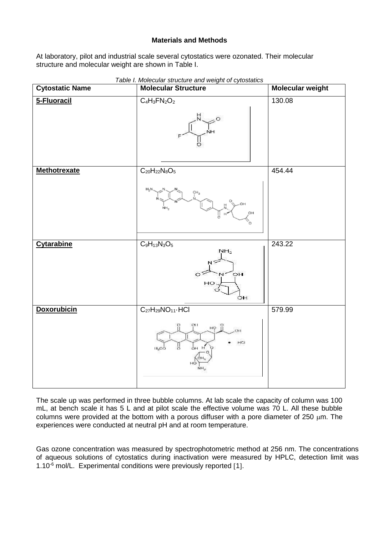# **Materials and Methods**

At laboratory, pilot and industrial scale several cytostatics were ozonated. Their molecular structure and molecular weight are shown in Table I.

| <b>Cytostatic Name</b> | rable <i>i.</i> Molecular structure and weight of cytostatics<br><b>Molecular Structure</b> | Molecular weight |
|------------------------|---------------------------------------------------------------------------------------------|------------------|
| 5-Fluoracil            | $C_4H_3FN_2O_2$                                                                             | 130.08           |
| <b>Methotrexate</b>    | $C_{20}H_{22}N_8O_5$<br>H <sub>2</sub> N<br>CH <sub>3</sub><br>мн<br>ÓН<br>ö                | 454.44           |
| <b>Cytarabine</b>      | $C_9H_{13}N_3O_5$<br>NH <sub>2</sub><br>$\overline{O}$ H<br>$\circ$<br>HO<br>ÓН             | 243.22           |
| <b>Doxorubicin</b>     | $C_{27}H_{29}NO_{11}$ . HCI<br>O11<br>바 안<br>ÓН<br>HCI<br>P,<br>11 <sub>3</sub> 00<br>ÓН    | 579.99           |

*Table I. Molecular structure and weight of cytostatics*

The scale up was performed in three bubble columns. At lab scale the capacity of column was 100 mL, at bench scale it has 5 L and at pilot scale the effective volume was 70 L. All these bubble columns were provided at the bottom with a porous diffuser with a pore diameter of 250  $\mu$ m. The experiences were conducted at neutral pH and at room temperature.

Gas ozone concentration was measured by spectrophotometric method at 256 nm. The concentrations of aqueous solutions of cytostatics during inactivation were measured by HPLC, detection limit was 1.10<sup>-6</sup> mol/L. Experimental conditions were previously reported [1].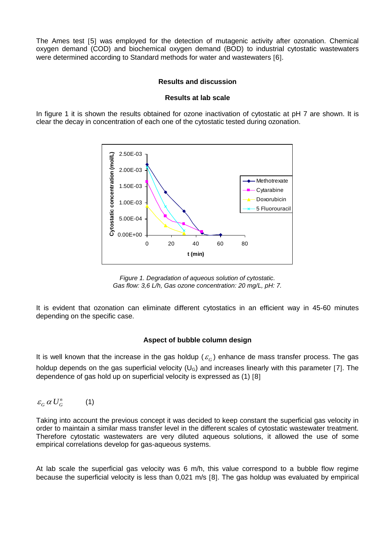The Ames test [5] was employed for the detection of mutagenic activity after ozonation. Chemical oxygen demand (COD) and biochemical oxygen demand (BOD) to industrial cytostatic wastewaters were determined according to Standard methods for water and wastewaters [6].

## **Results and discussion**

#### **Results at lab scale**

In figure 1 it is shown the results obtained for ozone inactivation of cytostatic at pH 7 are shown. It is clear the decay in concentration of each one of the cytostatic tested during ozonation.



*Figure 1. Degradation of aqueous solution of cytostatic. Gas flow: 3,6 L/h, Gas ozone concentration: 20 mg/L, pH: 7.*

It is evident that ozonation can eliminate different cytostatics in an efficient way in 45-60 minutes depending on the specific case.

#### **Aspect of bubble column design**

It is well known that the increase in the gas holdup ( $\varepsilon_G$ ) enhance de mass transfer process. The gas holdup depends on the gas superficial velocity ( $U_G$ ) and increases linearly with this parameter [7]. The dependence of gas hold up on superficial velocity is expressed as (1) [8]

 $\varepsilon_G a U_G^n$  (1)

Taking into account the previous concept it was decided to keep constant the superficial gas velocity in order to maintain a similar mass transfer level in the different scales of cytostatic wastewater treatment. Therefore cytostatic wastewaters are very diluted aqueous solutions, it allowed the use of some empirical correlations develop for gas-aqueous systems.

At lab scale the superficial gas velocity was 6 m/h, this value correspond to a bubble flow regime because the superficial velocity is less than 0,021 m/s [8]. The gas holdup was evaluated by empirical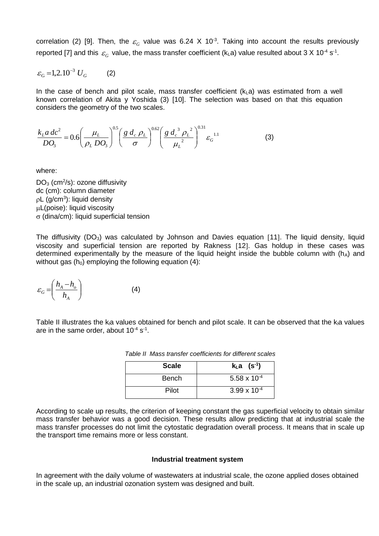correlation (2) [9]. Then, the  $\varepsilon_G$  value was 6.24 X 10<sup>-3</sup>. Taking into account the results previously reported [7] and this  $\varepsilon_G$  value, the mass transfer coefficient (k<sub>L</sub>a) value resulted about 3 X 10<sup>-4</sup> s<sup>-1</sup>.

$$
\varepsilon_{\rm G} = 1, 2.10^{-3} U_G \tag{2}
$$

In the case of bench and pilot scale, mass transfer coefficient  $(k<sub>L</sub>a)$  was estimated from a well known correlation of Akita y Yoshida (3) [10]. The selection was based on that this equation considers the geometry of the two scales.

$$
\frac{k_L a \, dc^2}{DQ_3} = 0.6 \left(\frac{\mu_L}{\rho_L DQ_3}\right)^{0.5} \left(\frac{g \, d_c \, \rho_L}{\sigma}\right)^{0.62} \left(\frac{g \, d_c^3 \, \rho_L^2}{\mu_L^2}\right)^{0.31} \varepsilon_G^{-1.1}
$$
 (3)

where:

 $DO<sub>3</sub>$  (cm<sup>2</sup>/s): ozone diffusivity dc (cm): column diameter  $pL$  (g/cm<sup>3</sup>): liquid density L(poise): liquid viscosity  $\sigma$  (dina/cm): liquid superficial tension

The diffusivity  $(DO<sub>3</sub>)$  was calculated by Johnson and Davies equation [11]. The liquid density, liquid viscosity and superficial tension are reported by Rakness [12]. Gas holdup in these cases was determined experimentally by the measure of the liquid height inside the bubble column with  $(h_A)$  and without gas  $(h_0)$  employing the following equation (4):

$$
\varepsilon_G = \left(\frac{h_A - h_o}{h_A}\right) \tag{4}
$$

Table II illustrates the ka values obtained for bench and pilot scale. It can be observed that the ka values are in the same order, about  $10^{-4}$  s<sup>-1</sup>.

| <b>Scale</b> | $k_{L}a$ (s <sup>-1</sup> ) |
|--------------|-----------------------------|
| <b>Bench</b> | 5.58 x $10^{-4}$            |
| Pilot        | $3.99 \times 10^{-4}$       |

*Table II Mass transfer coefficients for different scales*

According to scale up results, the criterion of keeping constant the gas superficial velocity to obtain similar mass transfer behavior was a good decision. These results allow predicting that at industrial scale the mass transfer processes do not limit the cytostatic degradation overall process. It means that in scale up the transport time remains more or less constant.

#### **Industrial treatment system**

In agreement with the daily volume of wastewaters at industrial scale, the ozone applied doses obtained in the scale up, an industrial ozonation system was designed and built.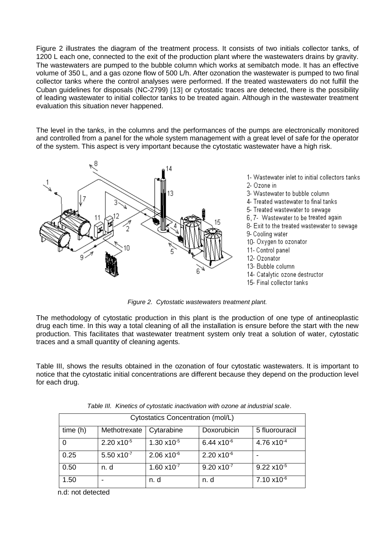Figure 2 illustrates the diagram of the treatment process. It consists of two initials collector tanks, of 1200 L each one, connected to the exit of the production plant where the wastewaters drains by gravity. The wastewaters are pumped to the bubble column which works at semibatch mode. It has an effective volume of 350 L, and a gas ozone flow of 500 L/h. After ozonation the wastewater is pumped to two final collector tanks where the control analyses were performed. If the treated wastewaters do not fulfill the Cuban guidelines for disposals (NC-2799) [13] or cytostatic traces are detected, there is the possibility of leading wastewater to initial collector tanks to be treated again. Although in the wastewater treatment evaluation this situation never happened.

The level in the tanks, in the columns and the performances of the pumps are electronically monitored and controlled from a panel for the whole system management with a great level of safe for the operator of the system. This aspect is very important because the cytostatic wastewater have a high risk.



1- Wastewater inlet to initial collectors tanks 2- Ozone in

3- Wastewater to bubble column.

4- Treated wastewater to final tanks

5- Treated wastewater to sewage

6, 7- Wastewater to be treated again

8- Exit to the treated wastewater to sewage 9- Cooling water

- 10- Oxygen to ozonator
- 11- Control panel
- 12- Ozonator
- 13- Bubble column
- 14- Catalytic ozone destructor
- 15- Final collector tanks

*Figure 2. Cytostatic wastewaters treatment plant.*

The methodology of cytostatic production in this plant is the production of one type of antineoplastic drug each time. In this way a total cleaning of all the installation is ensure before the start with the new production. This facilitates that wastewater treatment system only treat a solution of water, cytostatic traces and a small quantity of cleaning agents.

Table III, shows the results obtained in the ozonation of four cytostatic wastewaters. It is important to notice that the cytostatic initial concentrations are different because they depend on the production level for each drug.

| Cytostatics Concentration (mol/L) |                        |                       |                       |                        |
|-----------------------------------|------------------------|-----------------------|-----------------------|------------------------|
| time (h)                          | Methotrexate           | Cytarabine            | Doxorubicin           | 5 fluorouracil         |
| . 0                               | 2.20 x10 <sup>-5</sup> | $1.30 \times 10^{-5}$ | $6.44 \times 10^{-6}$ | 4.76 x10 <sup>-4</sup> |
| 0.25                              | $5.50 \times 10^{-7}$  | $2.06 \times 10^{-6}$ | $2.20 \times 10^{-6}$ |                        |
| 0.50                              | n. d                   | $1.60 \times 10^{-7}$ | $9.20 \times 10^{-7}$ | $9.22 \times 10^{-5}$  |
| 1.50                              |                        | n. d                  | n. d                  | $7.10 \times 10^{-6}$  |

*Table III. Kinetics of cytostatic inactivation with ozone at industrial scale*.

n.d: not detected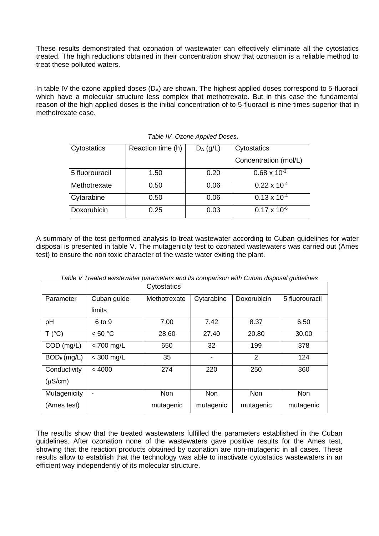These results demonstrated that ozonation of wastewater can effectively eliminate all the cytostatics treated. The high reductions obtained in their concentration show that ozonation is a reliable method to treat these polluted waters.

In table IV the ozone applied doses  $(D_A)$  are shown. The highest applied doses correspond to 5-fluoracil which have a molecular structure less complex that methotrexate. But in this case the fundamental reason of the high applied doses is the initial concentration of to 5-fluoracil is nine times superior that in methotrexate case.

| Cytostatics    | Reaction time (h) | $D_A$ (g/L) | Cytostatics           |
|----------------|-------------------|-------------|-----------------------|
|                |                   |             | Concentration (mol/L) |
| 5 fluorouracil | 1.50              | 0.20        | $0.68 \times 10^{-3}$ |
| Methotrexate   | 0.50              | 0.06        | $0.22 \times 10^{-4}$ |
| Cytarabine     | 0.50              | 0.06        | $0.13 \times 10^{-4}$ |
| Doxorubicin    | 0.25              | 0.03        | $0.17 \times 10^{-6}$ |

| Table IV. Ozone Applied Doses. |  |  |  |  |
|--------------------------------|--|--|--|--|
|--------------------------------|--|--|--|--|

A summary of the test performed analysis to treat wastewater according to Cuban guidelines for water disposal is presented in table V. The mutagenicity test to ozonated wastewaters was carried out (Ames test) to ensure the non toxic character of the waste water exiting the plant.

|               |                | Cytostatics  |                              |                |                |
|---------------|----------------|--------------|------------------------------|----------------|----------------|
| Parameter     | Cuban guide    | Methotrexate | Cytarabine                   | Doxorubicin    | 5 fluorouracil |
|               | limits         |              |                              |                |                |
| pH            | 6 to 9         | 7.00         | 7.42                         | 8.37           | 6.50           |
| T (°C)        | < 50 °C        | 28.60        | 27.40                        | 20.80          | 30.00          |
| $COD$ (mg/L)  | $< 700$ mg/L   | 650          | 32                           | 199            | 378            |
| $BOD5$ (mg/L) | $<$ 300 mg/L   | 35           | $\qquad \qquad \blacksquare$ | $\overline{2}$ | 124            |
| Conductivity  | < 4000         | 274          | 220                          | 250            | 360            |
| $(\mu S/cm)$  |                |              |                              |                |                |
| Mutagenicity  | $\blacksquare$ | <b>Non</b>   | <b>Non</b>                   | Non            | <b>Non</b>     |
| (Ames test)   |                | mutagenic    | mutagenic                    | mutagenic      | mutagenic      |

*Table V Treated wastewater parameters and its comparison with Cuban disposal guidelines* 

The results show that the treated wastewaters fulfilled the parameters established in the Cuban guidelines. After ozonation none of the wastewaters gave positive results for the Ames test, showing that the reaction products obtained by ozonation are non-mutagenic in all cases. These results allow to establish that the technology was able to inactivate cytostatics wastewaters in an efficient way independently of its molecular structure.